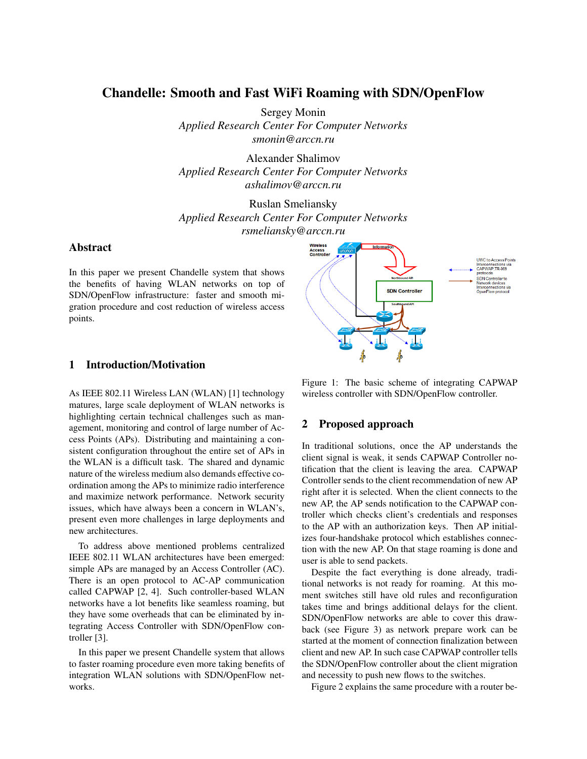# Chandelle: Smooth and Fast WiFi Roaming with SDN/OpenFlow

Sergey Monin *Applied Research Center For Computer Networks smonin@arccn.ru*

Alexander Shalimov *Applied Research Center For Computer Networks ashalimov@arccn.ru*

Ruslan Smeliansky *Applied Research Center For Computer Networks rsmeliansky@arccn.ru*

## Abstract

In this paper we present Chandelle system that shows the benefits of having WLAN networks on top of SDN/OpenFlow infrastructure: faster and smooth migration procedure and cost reduction of wireless access points.

## 1 Introduction/Motivation

As IEEE 802.11 Wireless LAN (WLAN) [1] technology matures, large scale deployment of WLAN networks is highlighting certain technical challenges such as management, monitoring and control of large number of Access Points (APs). Distributing and maintaining a consistent configuration throughout the entire set of APs in the WLAN is a difficult task. The shared and dynamic nature of the wireless medium also demands effective coordination among the APs to minimize radio interference and maximize network performance. Network security issues, which have always been a concern in WLAN's, present even more challenges in large deployments and new architectures.

To address above mentioned problems centralized IEEE 802.11 WLAN architectures have been emerged: simple APs are managed by an Access Controller (AC). There is an open protocol to AC-AP communication called CAPWAP [2, 4]. Such controller-based WLAN networks have a lot benefits like seamless roaming, but they have some overheads that can be eliminated by integrating Access Controller with SDN/OpenFlow controller [3].

In this paper we present Chandelle system that allows to faster roaming procedure even more taking benefits of integration WLAN solutions with SDN/OpenFlow networks.



Figure 1: The basic scheme of integrating CAPWAP wireless controller with SDN/OpenFlow controller.

### 2 Proposed approach

In traditional solutions, once the AP understands the client signal is weak, it sends CAPWAP Controller notification that the client is leaving the area. CAPWAP Controller sends to the client recommendation of new AP right after it is selected. When the client connects to the new AP, the AP sends notification to the CAPWAP controller which checks client's credentials and responses to the AP with an authorization keys. Then AP initializes four-handshake protocol which establishes connection with the new AP. On that stage roaming is done and user is able to send packets.

Despite the fact everything is done already, traditional networks is not ready for roaming. At this moment switches still have old rules and reconfiguration takes time and brings additional delays for the client. SDN/OpenFlow networks are able to cover this drawback (see Figure 3) as network prepare work can be started at the moment of connection finalization between client and new AP. In such case CAPWAP controller tells the SDN/OpenFlow controller about the client migration and necessity to push new flows to the switches.

Figure 2 explains the same procedure with a router be-